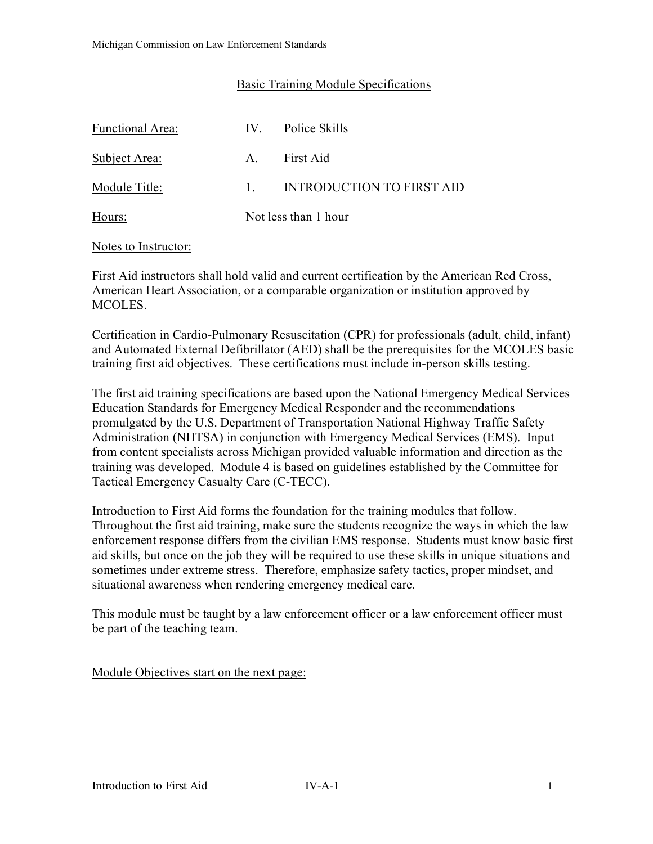## Basic Training Module Specifications

| <b>Functional Area:</b> |                        | IV. Police Skills         |
|-------------------------|------------------------|---------------------------|
| Subject Area:           |                        | A. First Aid              |
| Module Title:           | $1 \quad \blacksquare$ | INTRODUCTION TO FIRST AID |
| Hours:                  | Not less than 1 hour   |                           |

#### Notes to Instructor:

First Aid instructors shall hold valid and current certification by the American Red Cross, American Heart Association, or a comparable organization or institution approved by MCOLES.

Certification in Cardio-Pulmonary Resuscitation (CPR) for professionals (adult, child, infant) and Automated External Defibrillator (AED) shall be the prerequisites for the MCOLES basic training first aid objectives. These certifications must include in-person skills testing.

The first aid training specifications are based upon the National Emergency Medical Services Education Standards for Emergency Medical Responder and the recommendations promulgated by the U.S. Department of Transportation National Highway Traffic Safety Administration (NHTSA) in conjunction with Emergency Medical Services (EMS). Input from content specialists across Michigan provided valuable information and direction as the training was developed. Module 4 is based on guidelines established by the Committee for Tactical Emergency Casualty Care (C-TECC).

Introduction to First Aid forms the foundation for the training modules that follow. Throughout the first aid training, make sure the students recognize the ways in which the law enforcement response differs from the civilian EMS response. Students must know basic first aid skills, but once on the job they will be required to use these skills in unique situations and sometimes under extreme stress. Therefore, emphasize safety tactics, proper mindset, and situational awareness when rendering emergency medical care.

This module must be taught by a law enforcement officer or a law enforcement officer must be part of the teaching team.

Module Objectives start on the next page: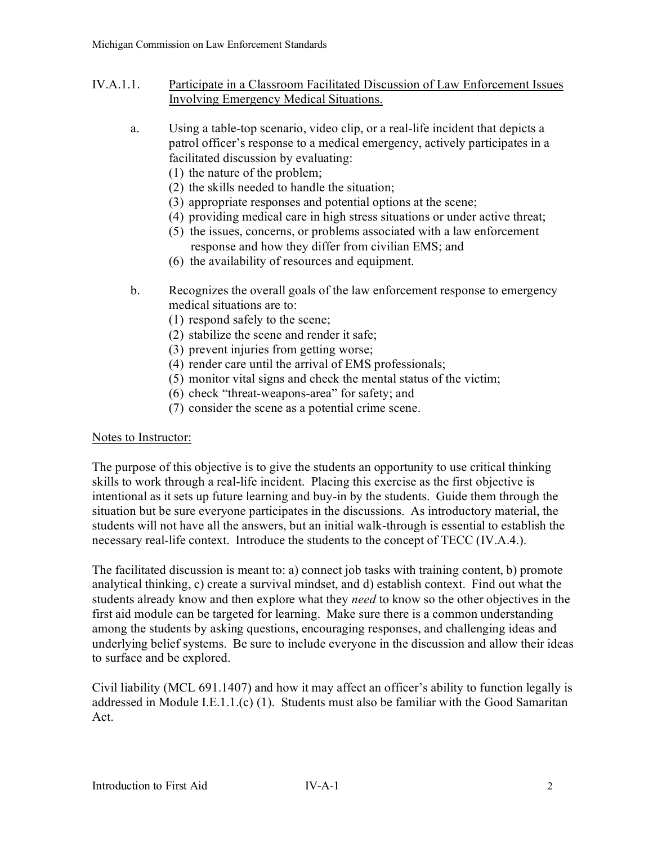- IV.A.1.1. Participate in a Classroom Facilitated Discussion of Law Enforcement Issues Involving Emergency Medical Situations.
	- a. Using a table-top scenario, video clip, or a real-life incident that depicts a patrol officer's response to a medical emergency, actively participates in a facilitated discussion by evaluating:
		- (1) the nature of the problem;
		- (2) the skills needed to handle the situation;
		- (3) appropriate responses and potential options at the scene;
		- (4) providing medical care in high stress situations or under active threat;
		- (5) the issues, concerns, or problems associated with a law enforcement response and how they differ from civilian EMS; and
		- (6) the availability of resources and equipment.
	- b. Recognizes the overall goals of the law enforcement response to emergency medical situations are to:
		- (1) respond safely to the scene;
		- (2) stabilize the scene and render it safe;
		- (3) prevent injuries from getting worse;
		- (4) render care until the arrival of EMS professionals;
		- (5) monitor vital signs and check the mental status of the victim;
		- (6) check "threat-weapons-area" for safety; and
		- (7) consider the scene as a potential crime scene.

## Notes to Instructor:

The purpose of this objective is to give the students an opportunity to use critical thinking skills to work through a real-life incident. Placing this exercise as the first objective is intentional as it sets up future learning and buy-in by the students. Guide them through the situation but be sure everyone participates in the discussions. As introductory material, the students will not have all the answers, but an initial walk-through is essential to establish the necessary real-life context. Introduce the students to the concept of TECC (IV.A.4.).

The facilitated discussion is meant to: a) connect job tasks with training content, b) promote analytical thinking, c) create a survival mindset, and d) establish context. Find out what the students already know and then explore what they *need* to know so the other objectives in the first aid module can be targeted for learning. Make sure there is a common understanding among the students by asking questions, encouraging responses, and challenging ideas and underlying belief systems. Be sure to include everyone in the discussion and allow their ideas to surface and be explored.

Civil liability (MCL 691.1407) and how it may affect an officer's ability to function legally is addressed in Module I.E.1.1.(c) (1). Students must also be familiar with the Good Samaritan Act.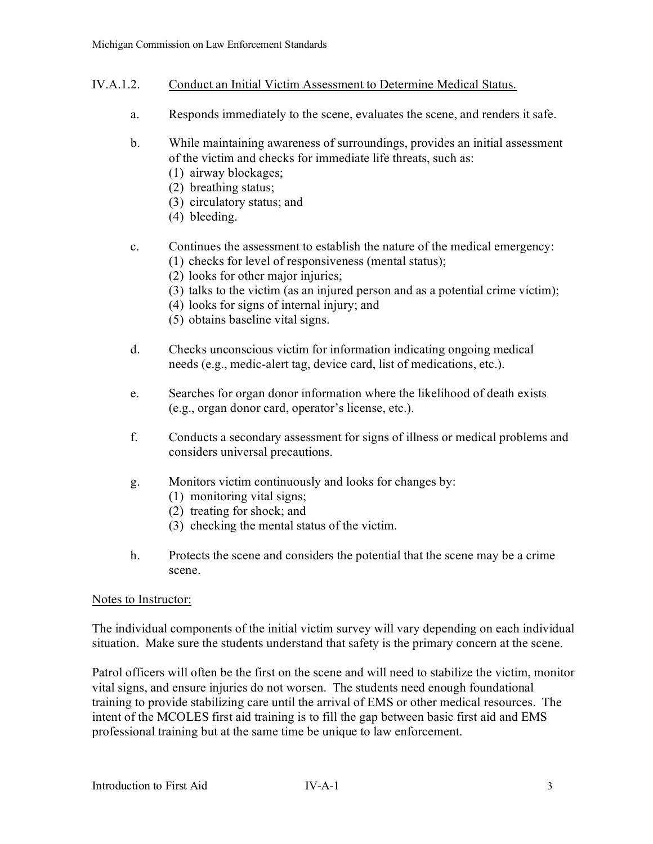- IV.A.1.2. Conduct an Initial Victim Assessment to Determine Medical Status.
	- a. Responds immediately to the scene, evaluates the scene, and renders it safe.
	- b. While maintaining awareness of surroundings, provides an initial assessment of the victim and checks for immediate life threats, such as:
		- (1) airway blockages;
		- (2) breathing status;
		- (3) circulatory status; and
		- (4) bleeding.

# c. Continues the assessment to establish the nature of the medical emergency:

- (1) checks for level of responsiveness (mental status);
- (2) looks for other major injuries;
- (3) talks to the victim (as an injured person and as a potential crime victim);
- (4) looks for signs of internal injury; and
- (5) obtains baseline vital signs.
- d. Checks unconscious victim for information indicating ongoing medical needs (e.g., medic-alert tag, device card, list of medications, etc.).
- e. Searches for organ donor information where the likelihood of death exists (e.g., organ donor card, operator's license, etc.).
- f. Conducts a secondary assessment for signs of illness or medical problems and considers universal precautions.
- g. Monitors victim continuously and looks for changes by:
	- (1) monitoring vital signs;
	- (2) treating for shock; and
	- (3) checking the mental status of the victim.
- h. Protects the scene and considers the potential that the scene may be a crime scene.

#### Notes to Instructor:

The individual components of the initial victim survey will vary depending on each individual situation. Make sure the students understand that safety is the primary concern at the scene.

Patrol officers will often be the first on the scene and will need to stabilize the victim, monitor vital signs, and ensure injuries do not worsen. The students need enough foundational training to provide stabilizing care until the arrival of EMS or other medical resources. The intent of the MCOLES first aid training is to fill the gap between basic first aid and EMS professional training but at the same time be unique to law enforcement.